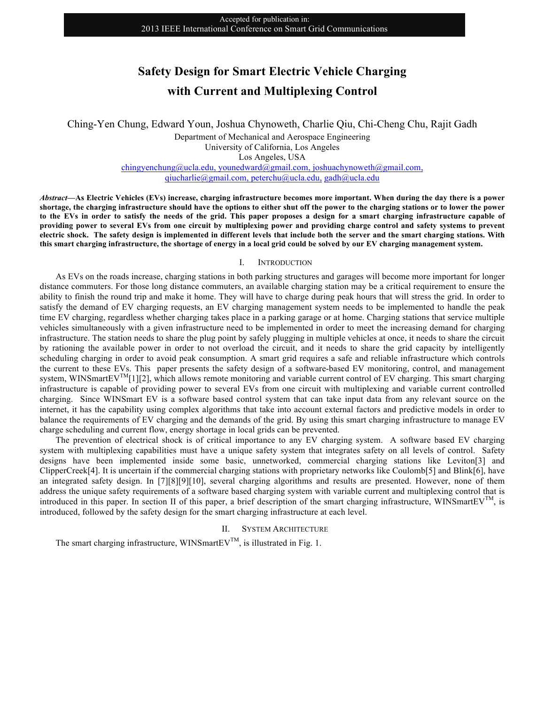# **Safety Design for Smart Electric Vehicle Charging with Current and Multiplexing Control**

Ching-Yen Chung, Edward Youn, Joshua Chynoweth, Charlie Qiu, Chi-Cheng Chu, Rajit Gadh

Department of Mechanical and Aerospace Engineering University of California, Los Angeles Los Angeles, USA chingyenchung@ucla.edu, younedward@gmail.com, joshuachynoweth@gmail.com, qiucharlie@gmail.com, peterchu@ucla.edu, gadh@ucla.edu

*Abstract***—As Electric Vehicles (EVs) increase, charging infrastructure becomes more important. When during the day there is a power shortage, the charging infrastructure should have the options to either shut off the power to the charging stations or to lower the power to the EVs in order to satisfy the needs of the grid. This paper proposes a design for a smart charging infrastructure capable of providing power to several EVs from one circuit by multiplexing power and providing charge control and safety systems to prevent electric shock. The safety design is implemented in different levels that include both the server and the smart charging stations. With this smart charging infrastructure, the shortage of energy in a local grid could be solved by our EV charging management system.**

## I. INTRODUCTION

As EVs on the roads increase, charging stations in both parking structures and garages will become more important for longer distance commuters. For those long distance commuters, an available charging station may be a critical requirement to ensure the ability to finish the round trip and make it home. They will have to charge during peak hours that will stress the grid. In order to satisfy the demand of EV charging requests, an EV charging management system needs to be implemented to handle the peak time EV charging, regardless whether charging takes place in a parking garage or at home. Charging stations that service multiple vehicles simultaneously with a given infrastructure need to be implemented in order to meet the increasing demand for charging infrastructure. The station needs to share the plug point by safely plugging in multiple vehicles at once, it needs to share the circuit by rationing the available power in order to not overload the circuit, and it needs to share the grid capacity by intelligently scheduling charging in order to avoid peak consumption. A smart grid requires a safe and reliable infrastructure which controls the current to these EVs. This paper presents the safety design of a software-based EV monitoring, control, and management system, WINSmartEV<sup>TM</sup>[1][2], which allows remote monitoring and variable current control of EV charging. This smart charging infrastructure is capable of providing power to several EVs from one circuit with multiplexing and variable current controlled charging. Since WINSmart EV is a software based control system that can take input data from any relevant source on the internet, it has the capability using complex algorithms that take into account external factors and predictive models in order to balance the requirements of EV charging and the demands of the grid. By using this smart charging infrastructure to manage EV charge scheduling and current flow, energy shortage in local grids can be prevented.

The prevention of electrical shock is of critical importance to any EV charging system. A software based EV charging system with multiplexing capabilities must have a unique safety system that integrates safety on all levels of control. Safety designs have been implemented inside some basic, unnetworked, commercial charging stations like Leviton[3] and ClipperCreek[4]. It is uncertain if the commercial charging stations with proprietary networks like Coulomb[5] and Blink[6], have an integrated safety design. In [7][8][9][10], several charging algorithms and results are presented. However, none of them address the unique safety requirements of a software based charging system with variable current and multiplexing control that is introduced in this paper. In section II of this paper, a brief description of the smart charging infrastructure, WINSmartEV<sup>TM</sup>, is introduced, followed by the safety design for the smart charging infrastructure at each level.

# II. SYSTEM ARCHITECTURE

The smart charging infrastructure, WINSmartEV<sup>TM</sup>, is illustrated in Fig. 1.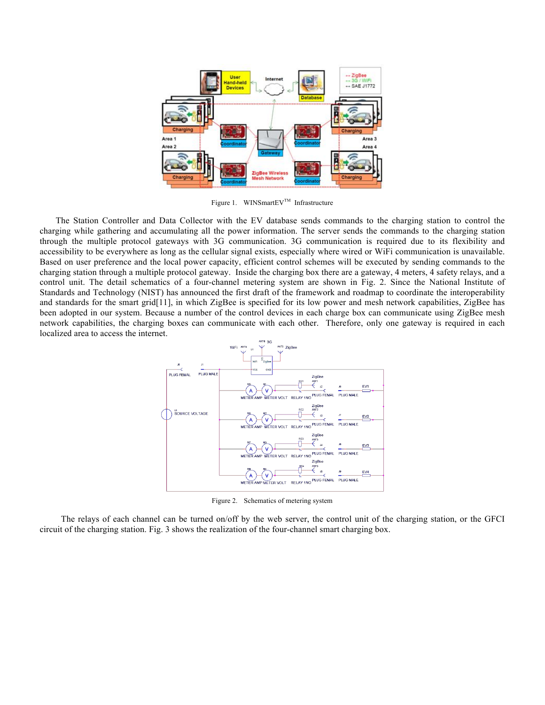

Figure 1. WINSmart $EV^{TM}$  Infrastructure

The Station Controller and Data Collector with the EV database sends commands to the charging station to control the charging while gathering and accumulating all the power information. The server sends the commands to the charging station through the multiple protocol gateways with 3G communication. 3G communication is required due to its flexibility and accessibility to be everywhere as long as the cellular signal exists, especially where wired or WiFi communication is unavailable. Based on user preference and the local power capacity, efficient control schemes will be executed by sending commands to the charging station through a multiple protocol gateway. Inside the charging box there are a gateway, 4 meters, 4 safety relays, and a control unit. The detail schematics of a four-channel metering system are shown in Fig. 2. Since the National Institute of Standards and Technology (NIST) has announced the first draft of the framework and roadmap to coordinate the interoperability and standards for the smart grid[11], in which ZigBee is specified for its low power and mesh network capabilities, ZigBee has been adopted in our system. Because a number of the control devices in each charge box can communicate using ZigBee mesh network capabilities, the charging boxes can communicate with each other. Therefore, only one gateway is required in each localized area to access the internet.



Figure 2. Schematics of metering system

The relays of each channel can be turned on/off by the web server, the control unit of the charging station, or the GFCI circuit of the charging station. Fig. 3 shows the realization of the four-channel smart charging box.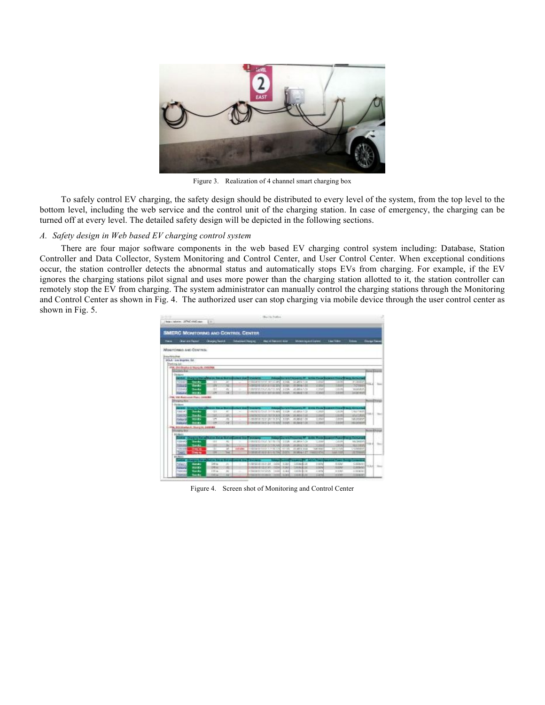

Figure 3. Realization of 4 channel smart charging box

To safely control EV charging, the safety design should be distributed to every level of the system, from the top level to the bottom level, including the web service and the control unit of the charging station. In case of emergency, the charging can be turned off at every level. The detailed safety design will be depicted in the following sections.

# *A. Safety design in Web based EV charging control system*

There are four major software components in the web based EV charging control system including: Database, Station Controller and Data Collector, System Monitoring and Control Center, and User Control Center. When exceptional conditions occur, the station controller detects the abnormal status and automatically stops EVs from charging. For example, if the EV ignores the charging stations pilot signal and uses more power than the charging station allotted to it, the station controller can remotely stop the EV from charging. The system administrator can manually control the charging stations through the Monitoring and Control Center as shown in Fig. 4. The authorized user can stop charging via mobile device through the user control center as shown in Fig. 5.



Figure 4. Screen shot of Monitoring and Control Center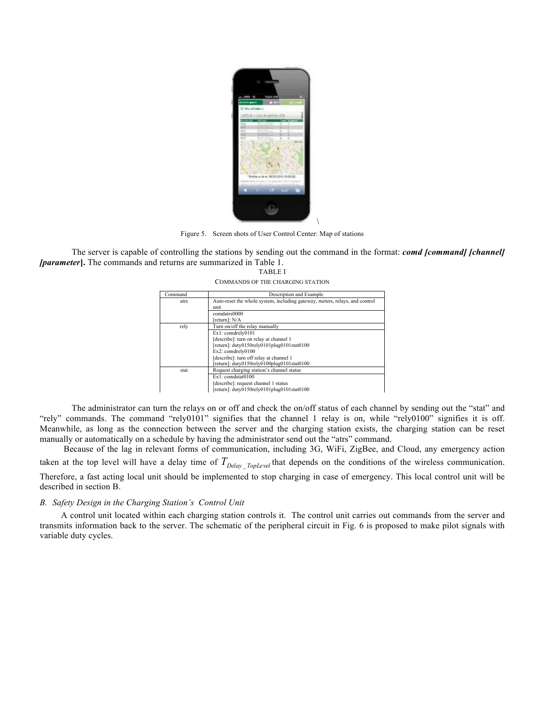

Figure 5. Screen shots of User Control Center: Map of stations

The server is capable of controlling the stations by sending out the command in the format: *comd [command] [channel] [parameter***].** The commands and returns are summarized in Table 1. TABLE I

| Command | Description and Example                                                             |
|---------|-------------------------------------------------------------------------------------|
| atrs    | Auto-reset the whole system, including gateway, meters, relays, and control<br>unit |
|         | comdatrs0000                                                                        |
|         | [return]: N/A                                                                       |
| rely    | Turn on/off the relay manually                                                      |
|         | Ex1: comdrely0101                                                                   |
|         | [describe]: turn on relay at channel 1                                              |
|         | [return]: duty0150rely0101plug0101stat0100                                          |
|         | $Ex2:$ comdrely $0100$                                                              |
|         | [describe]: turn off relay at channel 1                                             |
|         | [return]: duty0150rely0100plug0101stat0100                                          |
| stat    | Request charging station's channel status                                           |
|         | $Ex1$ : comdstat0100                                                                |
|         | [describe]: request channel 1 status                                                |
|         | [return]: duty0150rely0101plug0101stat0100                                          |

COMMANDS OF THE CHARGING STATION

The administrator can turn the relays on or off and check the on/off status of each channel by sending out the "stat" and "rely" commands. The command "rely0101" signifies that the channel 1 relay is on, while "rely0100" signifies it is off. Meanwhile, as long as the connection between the server and the charging station exists, the charging station can be reset manually or automatically on a schedule by having the administrator send out the "atrs" command.

Because of the lag in relevant forms of communication, including 3G, WiFi, ZigBee, and Cloud, any emergency action taken at the top level will have a delay time of  $T_{Delay\ TopLevel}$  that depends on the conditions of the wireless communication. Therefore, a fast acting local unit should be implemented to stop charging in case of emergency. This local control unit will be described in section B.

## *B. Safety Design in the Charging Station's Control Unit*

A control unit located within each charging station controls it. The control unit carries out commands from the server and transmits information back to the server. The schematic of the peripheral circuit in Fig. 6 is proposed to make pilot signals with variable duty cycles.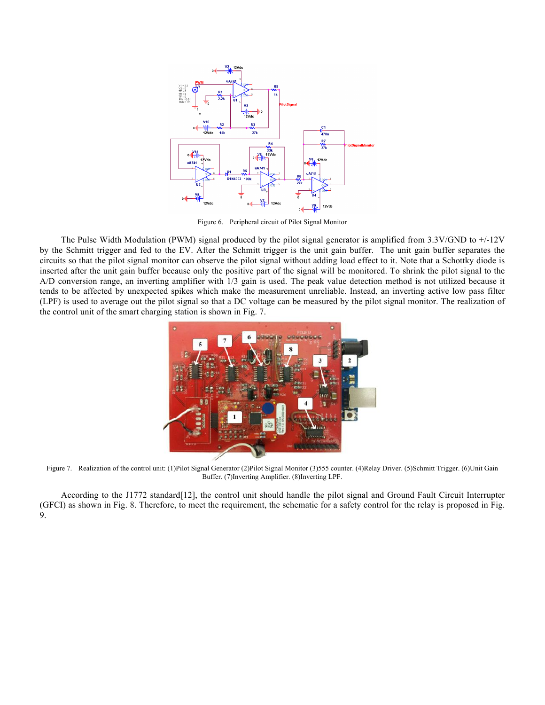

Figure 6. Peripheral circuit of Pilot Signal Monitor

The Pulse Width Modulation (PWM) signal produced by the pilot signal generator is amplified from 3.3V/GND to +/-12V by the Schmitt trigger and fed to the EV. After the Schmitt trigger is the unit gain buffer. The unit gain buffer separates the circuits so that the pilot signal monitor can observe the pilot signal without adding load effect to it. Note that a Schottky diode is inserted after the unit gain buffer because only the positive part of the signal will be monitored. To shrink the pilot signal to the A/D conversion range, an inverting amplifier with 1/3 gain is used. The peak value detection method is not utilized because it tends to be affected by unexpected spikes which make the measurement unreliable. Instead, an inverting active low pass filter (LPF) is used to average out the pilot signal so that a DC voltage can be measured by the pilot signal monitor. The realization of the control unit of the smart charging station is shown in Fig. 7.



Figure 7. Realization of the control unit: (1)Pilot Signal Generator (2)Pilot Signal Monitor (3)555 counter. (4)Relay Driver. (5)Schmitt Trigger. (6)Unit Gain Buffer. (7)Inverting Amplifier. (8)Inverting LPF.

According to the J1772 standard[12], the control unit should handle the pilot signal and Ground Fault Circuit Interrupter (GFCI) as shown in Fig. 8. Therefore, to meet the requirement, the schematic for a safety control for the relay is proposed in Fig. 9.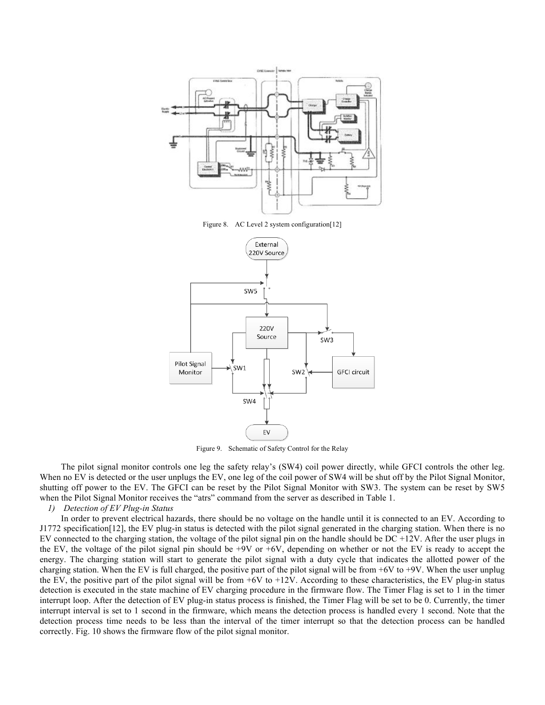





Figure 9. Schematic of Safety Control for the Relay

The pilot signal monitor controls one leg the safety relay's (SW4) coil power directly, while GFCI controls the other leg. When no EV is detected or the user unplugs the EV, one leg of the coil power of SW4 will be shut off by the Pilot Signal Monitor, shutting off power to the EV. The GFCI can be reset by the Pilot Signal Monitor with SW3. The system can be reset by SW5 when the Pilot Signal Monitor receives the "atrs" command from the server as described in Table 1.

#### *1) Detection of EV Plug-in Status*

In order to prevent electrical hazards, there should be no voltage on the handle until it is connected to an EV. According to J1772 specification[12], the EV plug-in status is detected with the pilot signal generated in the charging station. When there is no EV connected to the charging station, the voltage of the pilot signal pin on the handle should be DC +12V. After the user plugs in the EV, the voltage of the pilot signal pin should be  $+9V$  or  $+6V$ , depending on whether or not the EV is ready to accept the energy. The charging station will start to generate the pilot signal with a duty cycle that indicates the allotted power of the charging station. When the EV is full charged, the positive part of the pilot signal will be from  $+6V$  to  $+9V$ . When the user unplug the EV, the positive part of the pilot signal will be from  $+6V$  to  $+12V$ . According to these characteristics, the EV plug-in status detection is executed in the state machine of EV charging procedure in the firmware flow. The Timer Flag is set to 1 in the timer interrupt loop. After the detection of EV plug-in status process is finished, the Timer Flag will be set to be 0. Currently, the timer interrupt interval is set to 1 second in the firmware, which means the detection process is handled every 1 second. Note that the detection process time needs to be less than the interval of the timer interrupt so that the detection process can be handled correctly. Fig. 10 shows the firmware flow of the pilot signal monitor.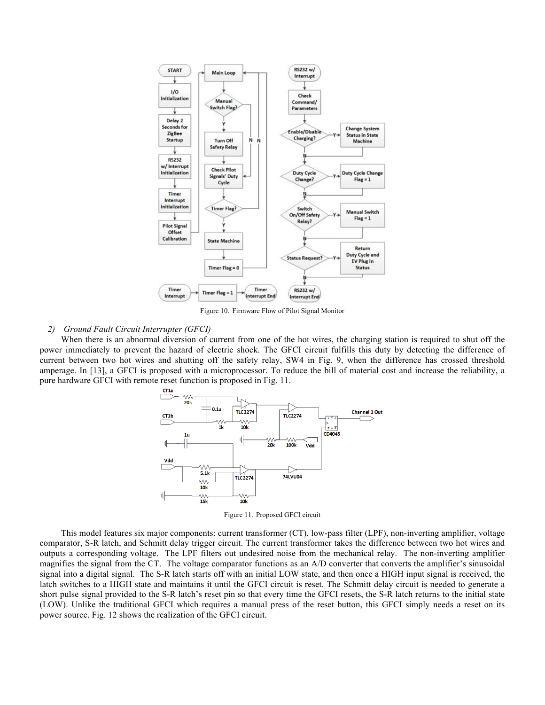

Figure 10. Firmware Flow of Pilot Signal Monitor

# *2) Ground Fault Circuit Interrupter (GFCI)*

When there is an abnormal diversion of current from one of the hot wires, the charging station is required to shut off the power immediately to prevent the hazard of electric shock. The GFCI circuit fulfills this duty by detecting the difference of current between two hot wires and shutting off the safety relay, SW4 in Fig. 9, when the difference has crossed threshold amperage. In [13], a GFCI is proposed with a microprocessor. To reduce the bill of material cost and increase the reliability, a pure hardware GFCI with remote reset function is proposed in Fig. 11.



Figure 11. Proposed GFCI circuit

This model features six major components: current transformer (CT), low-pass filter (LPF), non-inverting amplifier, voltage comparator, S-R latch, and Schmitt delay trigger circuit. The current transformer takes the difference between two hot wires and outputs a corresponding voltage. The LPF filters out undesired noise from the mechanical relay. The non-inverting amplifier magnifies the signal from the CT. The voltage comparator functions as an A/D converter that converts the amplifier's sinusoidal signal into a digital signal. The S-R latch starts off with an initial LOW state, and then once a HIGH input signal is received, the latch switches to a HIGH state and maintains it until the GFCI circuit is reset. The Schmitt delay circuit is needed to generate a short pulse signal provided to the S-R latch's reset pin so that every time the GFCI resets, the S-R latch returns to the initial state (LOW). Unlike the traditional GFCI which requires a manual press of the reset button, this GFCI simply needs a reset on its power source. Fig. 12 shows the realization of the GFCI circuit.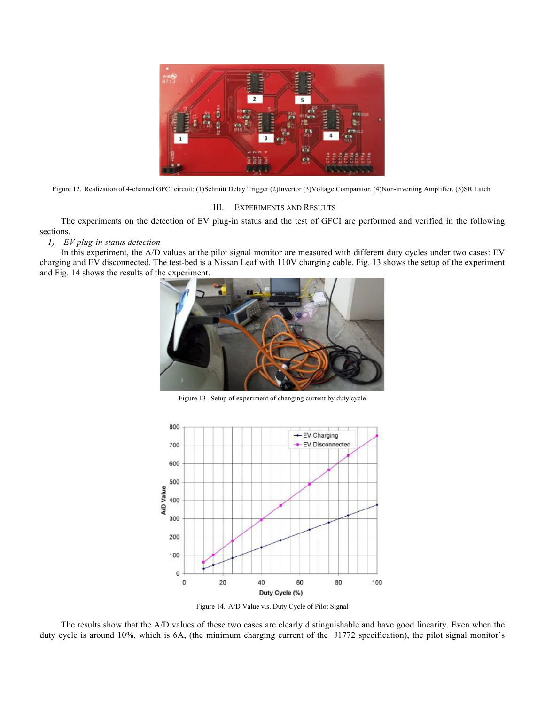

Figure 12. Realization of 4-channel GFCI circuit: (1)Schmitt Delay Trigger (2)Invertor (3)Voltage Comparator. (4)Non-inverting Amplifier. (5)SR Latch.

## III. EXPERIMENTS AND RESULTS

The experiments on the detection of EV plug-in status and the test of GFCI are performed and verified in the following sections.

*1) EV plug-in status detection*

In this experiment, the A/D values at the pilot signal monitor are measured with different duty cycles under two cases: EV charging and EV disconnected. The test-bed is a Nissan Leaf with 110V charging cable. Fig. 13 shows the setup of the experiment and Fig. 14 shows the results of the experiment.



Figure 13. Setup of experiment of changing current by duty cycle



Figure 14. A/D Value v.s. Duty Cycle of Pilot Signal

The results show that the A/D values of these two cases are clearly distinguishable and have good linearity. Even when the duty cycle is around 10%, which is 6A, (the minimum charging current of the J1772 specification), the pilot signal monitor's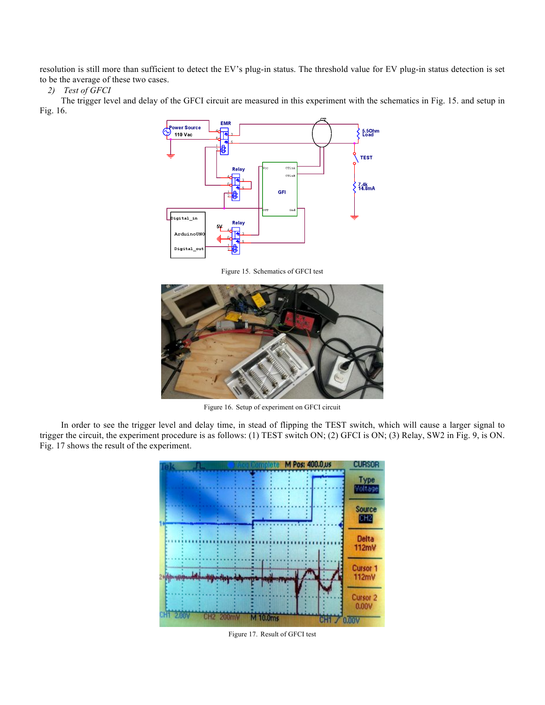resolution is still more than sufficient to detect the EV's plug-in status. The threshold value for EV plug-in status detection is set to be the average of these two cases.

# *2) Test of GFCI*

The trigger level and delay of the GFCI circuit are measured in this experiment with the schematics in Fig. 15. and setup in Fig. 16.



Figure 15. Schematics of GFCI test



Figure 16. Setup of experiment on GFCI circuit

In order to see the trigger level and delay time, in stead of flipping the TEST switch, which will cause a larger signal to trigger the circuit, the experiment procedure is as follows: (1) TEST switch ON; (2) GFCI is ON; (3) Relay, SW2 in Fig. 9, is ON. Fig. 17 shows the result of the experiment.



Figure 17. Result of GFCI test